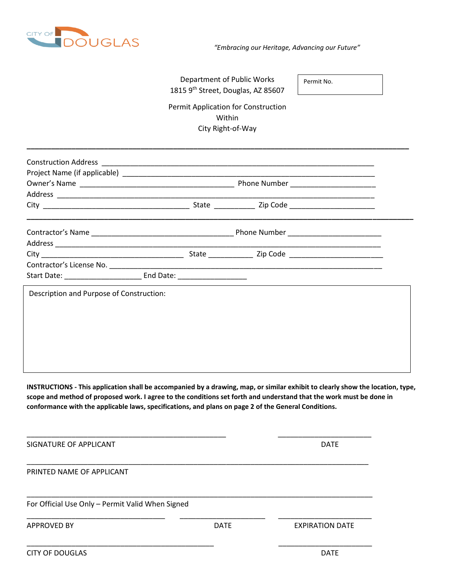

## Department of Public Works 1815 9<sup>th</sup> Street, Douglas, AZ 85607

Permit No.

Permit Application for Construction Within City Right-of-Way

**\_\_\_\_\_\_\_\_\_\_\_\_\_\_\_\_\_\_\_\_\_\_\_\_\_\_\_\_\_\_\_\_\_\_\_\_\_\_\_\_\_\_\_\_\_\_\_\_\_\_\_\_\_\_\_\_\_\_\_\_\_\_\_\_\_\_\_\_\_\_\_\_\_\_\_\_\_\_\_\_\_\_\_\_\_\_\_\_\_\_\_\_\_\_**

| Description and Purpose of Construction: |  |  |  |  |
|------------------------------------------|--|--|--|--|
|                                          |  |  |  |  |
|                                          |  |  |  |  |
|                                          |  |  |  |  |
|                                          |  |  |  |  |
|                                          |  |  |  |  |
|                                          |  |  |  |  |
|                                          |  |  |  |  |

**INSTRUCTIONS - This application shall be accompanied by a drawing, map, or similar exhibit to clearly show the location, type, scope and method of proposed work. I agree to the conditions set forth and understand that the work must be done in conformance with the applicable laws, specifications, and plans on page 2 of the General Conditions.**

| SIGNATURE OF APPLICANT                           |             | <b>DATE</b>            |
|--------------------------------------------------|-------------|------------------------|
| PRINTED NAME OF APPLICANT                        |             |                        |
| For Official Use Only - Permit Valid When Signed |             |                        |
| <b>APPROVED BY</b>                               | <b>DATE</b> | <b>EXPIRATION DATE</b> |
| <b>CITY OF DOUGLAS</b>                           |             | <b>DATE</b>            |